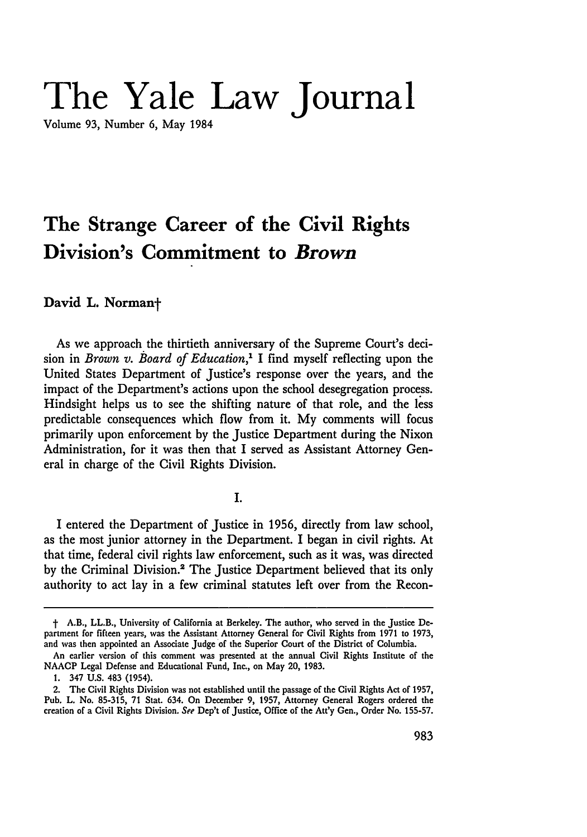## The Yale Law Journal

Volume 93, Number 6, May 1984

## **The Strange Career of the Civil Rights Division's Commitment to** *Brown*

David L. Normant

As we approach the thirtieth anniversary of the Supreme Court's decision in *Brown v. Board of Education,'* I find myself reflecting upon the United States Department of Justice's response over the years, and the impact of the Department's actions upon the school desegregation process. Hindsight helps us to see the shifting nature of that role, and the less predictable consequences which flow from it. **My** comments will focus primarily upon enforcement by the Justice Department during the Nixon Administration, for it was then that I served as Assistant Attorney General in charge of the Civil Rights Division.

I.

I entered the Department of Justice in 1956, directly from law school, as the most junior attorney in the Department. I began in civil rights. At that time, federal civil rights law enforcement, such as it was, was directed by the Criminal Division.2 The Justice Department believed that its only authority to act lay in a few criminal statutes left over from the Recon-

t A.B., LL.B., University of California at Berkeley. The author, who served in the Justice **De**partment for fifteen years, was the Assistant Attorney General for Civil Rights from **1971** to **1973,** and was then appointed an Associate Judge of the Superior Court of the District of Columbia.

An earlier version of this comment was presented at the annual Civil Rights Institute of the **NAACP** Legal Defense and Educational Fund, Inc., on May 20, **1983.**

**<sup>1.</sup>** 347 **U.S.** 483 (1954).

<sup>2.</sup> The Civil Rights Division was not established until the passage of the Civil Rights Act of **1957,** Pub. L. No. **85-315, 71** Stat. 634. On December **9, 1957,** Attorney General Rogers ordered the creation of a Civil Rights Division. See Dep't of Justice, Office of the Att'y Gen., Order No. **155-57.**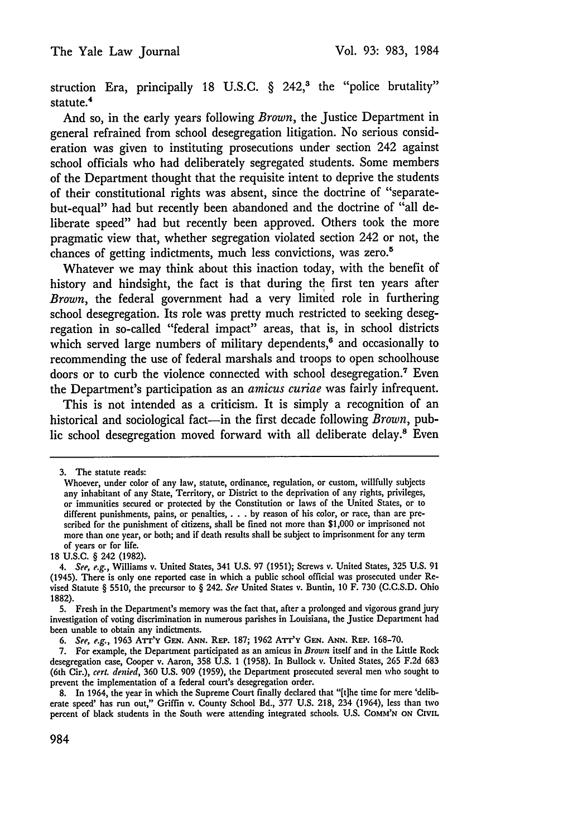struction Era, principally 18 U.S.C.  $\S$  242,<sup>3</sup> the "police brutality" statute.<sup>4</sup>

And so, in the early years following *Brown,* the Justice Department in general refrained from school desegregation litigation. No serious consideration was given to instituting prosecutions under section 242 against school officials who had deliberately segregated students. Some members of the Department thought that the requisite intent to deprive the students of their constitutional rights was absent, since the doctrine of "separatebut-equal" had but recently been abandoned and the doctrine of "all deliberate speed" had but recently been approved. Others took the more pragmatic view that, whether segregation violated section 242 or not, the chances of getting indictments, much less convictions, was zero.<sup>5</sup>

Whatever we may think about this inaction today, with the benefit of history and hindsight, the fact is that during the first ten years after *Brown,* the federal government had a very limited role in furthering school desegregation. Its role was pretty much restricted to seeking desegregation in so-called "federal impact" areas, that is, in school districts which served large numbers of military dependents,<sup>6</sup> and occasionally to recommending the use of federal marshals and troops to open schoolhouse doors or to curb the violence connected with school desegregation.<sup>7</sup> Even the Department's participation as an *amicus curiae* was fairly infrequent.

This is not intended as a criticism. It is simply a recognition of an historical and sociological fact-in the first decade following *Brown,* public school desegregation moved forward with all deliberate delay.8 Even

8. In 1964, the year in which the Supreme Court finally declared that "[t]he time for mere 'deliberate speed' has run out," Griffin v. County School Bd., 377 U.S. 218, 234 (1964), less than two percent of black students in the South were attending integrated schools. U.S. COMM'N **ON** CIVIL

<sup>3.</sup> The statute reads:

Whoever, under color of any law, statute, ordinance, regulation, or custom, willfully subjects any inhabitant of any State, Territory, or District to the deprivation of any rights, privileges, or immunities secured or protected by the Constitution or laws of the United States, or to different punishments, pains, or penalties, **. . .** by reason of his color, or race, than are prescribed for the punishment of citizens, shall be fined not more than \$1,000 or imprisoned not more than one year, or both; and if death results shall be subject to imprisonment for any term of years or for life.

<sup>18</sup> U.S.C. § 242 (1982).

*<sup>4.</sup> See, e.g.,* Williams v. United States, 341 U.S. 97 (1951); Screws v. United States, 325 **U.S.** 91 (1945). There is only one reported case in which a public school official was prosecuted under Revised Statute § 5510, the precursor to § 242. *See* United States v. Buntin, **10** F. **730** (C.C.S.D. Ohio 1882).

<sup>5.</sup> Fresh in the Department's memory was the fact that, after a prolonged and vigorous grand jury investigation of voting discrimination in numerous parishes in Louisiana, the Justice Department had been unable to obtain any indictments.

*<sup>6.</sup> See, e.g.,* 1963 ATr'y *GE.N.* **ANN.** REP. 187; 1962 Arr'y **GEN. ANN.** REP. 168-70.

<sup>7.</sup> For example, the Department participated as an amicus in *Brown* itself and in the Little Rock desegregation case, Cooper v. Aaron, 358 U.S. 1 (1958). In Bullock v. United States, 265 F.2d 683 (6th Cir.), *cert. denied,* **360** U.S. **909** (1959), the Department prosecuted several men who sought to prevent the implementation of a federal court's desegregation order.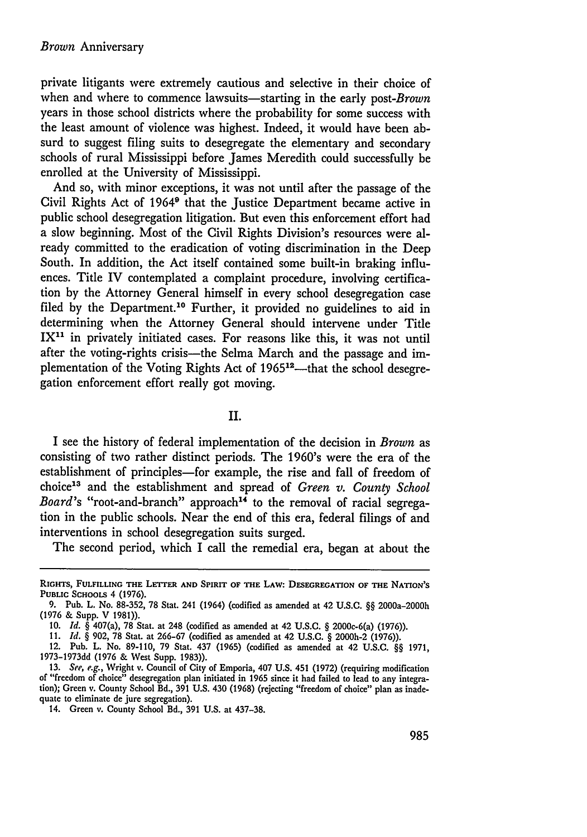private litigants were extremely cautious and selective in their choice of when and where to commence lawsuits-starting in the early post-Brown years in those school districts where the probability for some success with the least amount of violence was highest. Indeed, it would have been absurd to suggest filing suits to desegregate the elementary and secondary schools of rural Mississippi before James Meredith could successfully be enrolled at the University of Mississippi.

And so, with minor exceptions, it was not until after the passage of the Civil Rights Act of 1964' that the Justice Department became active in public school desegregation litigation. But even this enforcement effort had a slow beginning. Most of the Civil Rights Division's resources were already committed to the eradication of voting discrimination in the Deep South. In addition, the Act itself contained some built-in braking influences. Title IV contemplated a complaint procedure, involving certification by the Attorney General himself in every school desegregation case filed by the Department.<sup>10</sup> Further, it provided no guidelines to aid in determining when the Attorney General should intervene under Title **IX11** in privately initiated cases. For reasons like this, it was not until after the voting-rights crisis—the Selma March and the passage and implementation of the Voting Rights Act of 1965<sup>12</sup>—that the school desegregation enforcement effort really got moving.

II.

I see the history of federal implementation of the decision in *Brown* as consisting of two rather distinct periods. The 1960's were the era of the establishment of principles-for example, the rise and fall of freedom of choice13 and the establishment and spread of *Green v. County School Board's* "root-and-branch" approach<sup>14</sup> to the removal of racial segregation in the public schools. Near the end of this era, federal filings of and interventions in school desegregation suits surged.

The second period, which I call the remedial era, began at about the

RIGHTS, FULFILLING THE LETTER AND SPIRIT OF THE LAW: DESEGREGATION OF THE NATION'S **PUBLIC SCHOOLs** 4 (1976).

<sup>9.</sup> Pub. L. No. 88-352, **78** Stat. 241 (1964) (codified as amended at 42 U.S.C. §§ 2000a-2000h **(1976** & Supp. V **1981)).**

**<sup>10.</sup>** *Id. §* 407(a), **78** Stat. at 248 (codified as amended at 42 **U.S.C.** § 2000c-6(a) **(1976)).**

**<sup>11.</sup>** *Id. §* **902, 78** Stat. at **266-67** (codified as amended at 42 **U.S.C.** *§* 2000h-2 **(1976)).**

<sup>12.</sup> Pub. L. No. **89-110, 79** Stat. 437 **(1965)** (codified as amended at 42 **U.S.C.** *§§* **1971, 1973-1973dd (1976** & West Supp. **1983)).**

**<sup>13.</sup>** See, e.g., Wright v. Council of City of Emporia, 407 **U.S.** 451 **(1972)** (requiring modification of "freedom of choice" desegregation plan initiated in **1965** since it had failed to lead to any integration); Green v. County School Bd., **391 U.S.** 430 **(1968)** (rejecting "freedom of choice" plan as inadequate to eliminate de jure segregation).

<sup>14.</sup> Green v. County School Bd., **391 U.S.** at **437-38.**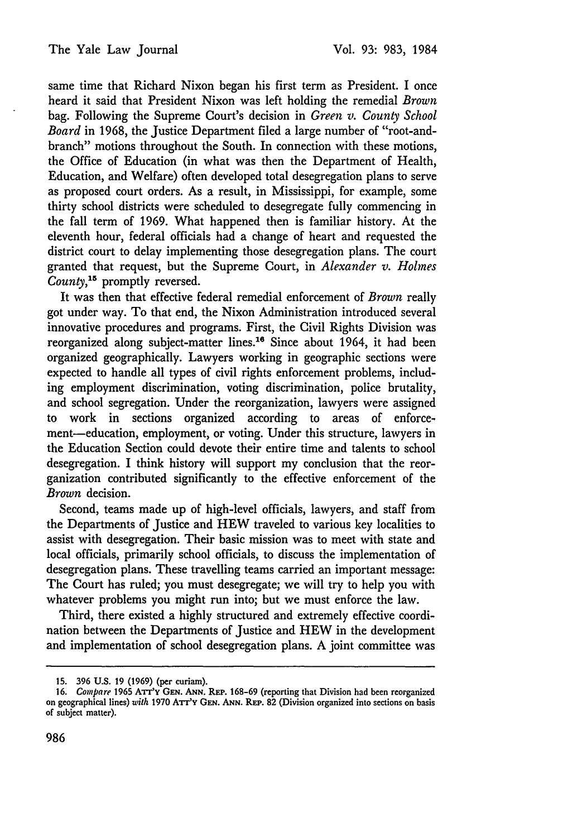same time that Richard Nixon began his first term as President. I once heard it said that President Nixon was left holding the remedial *Brown* bag. Following the Supreme Court's decision in *Green v. County School Board* in 1968, the Justice Department filed a large number of "root-andbranch" motions throughout the South. In connection with these motions, the Office of Education (in what was then the Department of Health, Education, and Welfare) often developed total desegregation plans to serve as proposed court orders. As a result, in Mississippi, for example, some thirty school districts were scheduled to desegregate fully commencing in the fall term of 1969. What happened then is familiar history. At the eleventh hour, federal officials had a change of heart and requested the district court to delay implementing those desegregation plans. The court granted that request, but the Supreme Court, in *Alexander v. Holmes County*,<sup>15</sup> promptly reversed.

It was then that effective federal remedial enforcement of *Brown* really got under way. To that end, the Nixon Administration introduced several innovative procedures and programs. First, the Civil Rights Division was reorganized along subject-matter lines.<sup>16</sup> Since about 1964, it had been organized geographically. Lawyers working in geographic sections were expected to handle all types of civil rights enforcement problems, including employment discrimination, voting discrimination, police brutality, and school segregation. Under the reorganization, lawyers were assigned to work in sections organized according to areas of enforcement-education, employment, or voting. Under this structure, lawyers in the Education Section could devote their entire time and talents to school desegregation. I think history will support my conclusion that the reorganization contributed significantly to the effective enforcement of the *Brown* decision.

Second, teams made up of high-level officials, lawyers, and staff from the Departments of Justice and HEW traveled to various key localities to assist with desegregation. Their basic mission was to meet with state and local officials, primarily school officials, to discuss the implementation of desegregation plans. These travelling teams carried an important message: The Court has ruled; you must desegregate; we will try to help you with whatever problems you might run into; but we must enforce the law.

Third, there existed a highly structured and extremely effective coordination between the Departments of Justice and HEW in the development and implementation of school desegregation plans. A joint committee was

**<sup>15. 396</sup> U.S. 19 (1969)** (per curiam).

<sup>16.</sup> *Compare* 1965 **ATr'y GEN. ANN. REP. 168-69** (reporting that Division had been reorganized on geographical lines) with 1970 ATT'Y GEN. ANN. REP. 82 (Division organized into sections on basis **of** subject matter).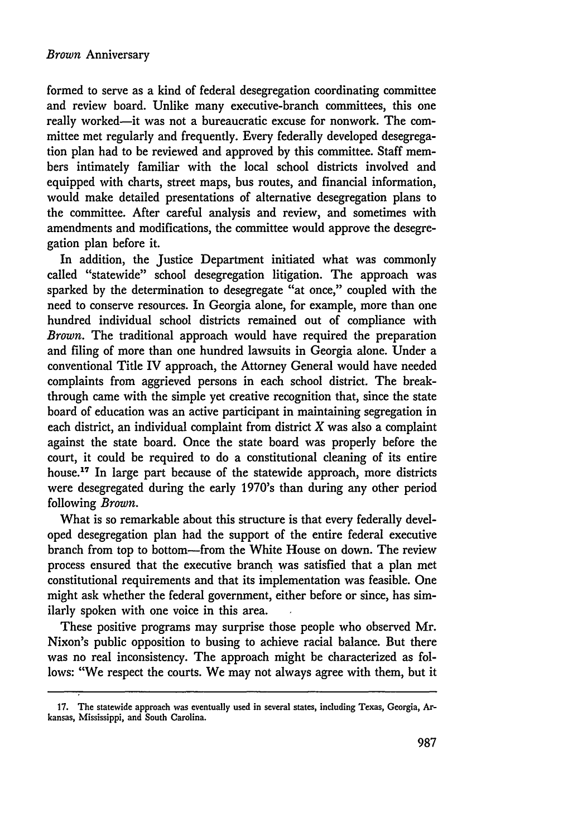formed to serve as a kind of federal desegregation coordinating committee and review board. Unlike many executive-branch committees, this one really worked-it was not a bureaucratic excuse for nonwork. The committee met regularly and frequently. Every federally developed desegregation plan had to be reviewed and approved by this committee. Staff members intimately familiar with the local school districts involved and equipped with charts, street maps, bus routes, and financial information, would make detailed presentations of alternative desegregation plans to the committee. After careful analysis and review, and sometimes with amendments and modifications, the committee would approve the desegregation plan before it.

In addition, the Justice Department initiated what was commonly called "statewide" school desegregation litigation. The approach was sparked by the determination to desegregate "at once," coupled with the need to conserve resources. In Georgia alone, for example, more than one hundred individual school districts remained out of compliance with *Brown.* The traditional approach would have required the preparation and filing of more than one hundred lawsuits in Georgia alone. Under a conventional Title IV approach, the Attorney General would have needed complaints from aggrieved persons in each school district. The breakthrough came with the simple yet creative recognition that, since the state board of education was an active participant in maintaining segregation in each district, an individual complaint from district  $X$  was also a complaint against the state board. Once the state board was properly before the court, it could be required to do a constitutional cleaning of its entire house.<sup>17</sup> In large part because of the statewide approach, more districts were desegregated during the early 1970's than during any other period following *Brown.*

What is so remarkable about this structure is that every federally developed desegregation plan had the support of the entire federal executive branch from top to bottom-from the White House on down. The review process ensured that the executive branch was satisfied that a plan met constitutional requirements and that its implementation was feasible. One might ask whether the federal government, either before or since, has similarly spoken with one voice in this area.

These positive programs may surprise those people who observed Mr. Nixon's public opposition to busing to achieve racial balance. But there was no real inconsistency. The approach might be characterized as follows: "We respect the courts. We may not always agree with them, but it

**<sup>17.</sup>** The statewide approach was eventually used in several states, including Texas, Georgia, Arkansas, Mississippi, and South Carolina.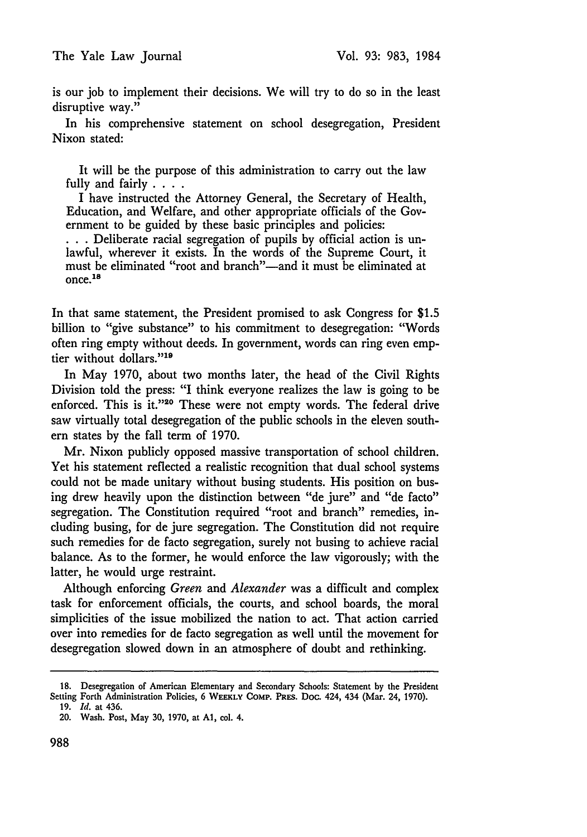is our job to implement their decisions. We will try to do so in the least disruptive way."

In his comprehensive statement on school desegregation, President Nixon stated:

It will be the purpose of this administration to carry out the law fully and fairly **....**

I have instructed the Attorney General, the Secretary of Health, Education, and Welfare, and other appropriate officials of the Government to be guided by these basic principles and policies:

**• ..**Deliberate racial segregation of pupils by official action is unlawful, wherever it exists. In the words of the Supreme Court, it must be eliminated "root and branch"-and it must be eliminated at  $\frac{1}{2}$ once.<sup>18</sup>

In that same statement, the President promised to ask Congress for \$1.5 billion to "give substance" to his commitment to desegregation: "Words often ring empty without deeds. In government, words can ring even emptier without dollars."<sup>19</sup>

In May 1970, about two months later, the head of the Civil Rights Division told the press: "I think everyone realizes the law is going to be enforced. This is it."20 These were not empty words. The federal drive saw virtually total desegregation of the public schools in the eleven southern states by the fall term of 1970.

Mr. Nixon publicly opposed massive transportation of school children. Yet his statement reflected a realistic recognition that dual school systems could not be made unitary without busing students. His position on busing drew heavily upon the distinction between "de jure" and "de facto" segregation. The Constitution required "root and branch" remedies, including busing, for de jure segregation. The Constitution did not require such remedies for de facto segregation, surely not busing to achieve racial balance. As to the former, he would enforce the law vigorously; with the latter, he would urge restraint.

Although enforcing *Green and Alexander* was a difficult and complex task for enforcement officials, the courts, and school boards, the moral simplicities of the issue mobilized the nation to act. That action carried over into remedies for de facto segregation as well until the movement for desegregation slowed down in an atmosphere of doubt and rethinking.

**<sup>18.</sup>** Desegregation of American Elementary and Secondary Schools: Statement by the President Setting Forth Administration Policies, 6 *WEEKLY* COMP. PREs. Doc. 424, 434 (Mar. 24, **1970). 19.** *Id.* at 436.

<sup>20.</sup> Wash. Post, May **30, 1970,** at **Al,** col. 4.